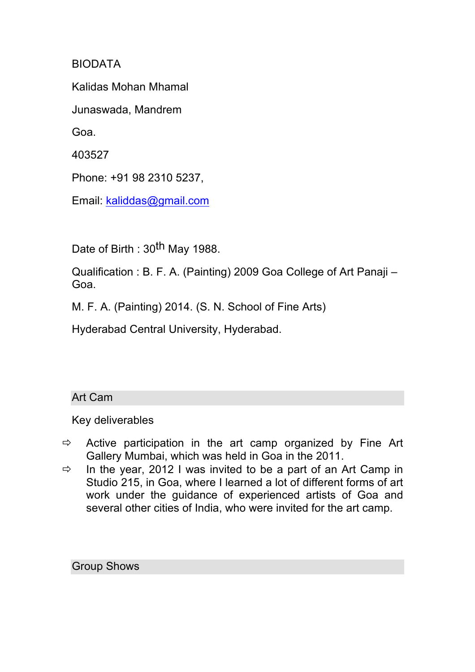BIODATA

Kalidas Mohan Mhamal

Junaswada, Mandrem

Goa.

403527

Phone: +91 98 2310 5237,

Email: kaliddas@gmail.com

Date of Birth : 30<sup>th</sup> May 1988.

Qualification : B. F. A. (Painting) 2009 Goa College of Art Panaji – Goa.

M. F. A. (Painting) 2014. (S. N. School of Fine Arts)

Hyderabad Central University, Hyderabad.

## Art Cam

Key deliverables

- $\Rightarrow$  Active participation in the art camp organized by Fine Art Gallery Mumbai, which was held in Goa in the 2011.
- $\Rightarrow$  In the year, 2012 I was invited to be a part of an Art Camp in Studio 215, in Goa, where I learned a lot of different forms of art work under the guidance of experienced artists of Goa and several other cities of India, who were invited for the art camp.

Group Shows